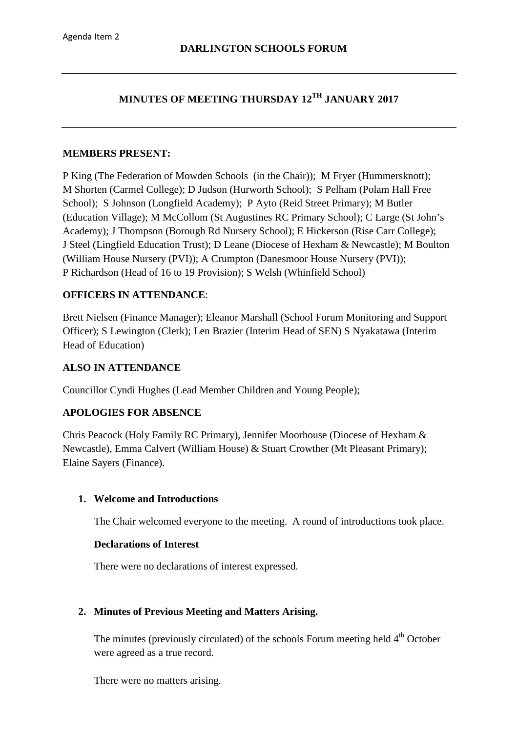# **MINUTES OF MEETING THURSDAY 12TH JANUARY 2017**

#### **MEMBERS PRESENT:**

P King (The Federation of Mowden Schools (in the Chair)); M Fryer (Hummersknott); M Shorten (Carmel College); D Judson (Hurworth School); S Pelham (Polam Hall Free School); S Johnson (Longfield Academy); P Ayto (Reid Street Primary); M Butler (Education Village); M McCollom (St Augustines RC Primary School); C Large (St John's Academy); J Thompson (Borough Rd Nursery School); E Hickerson (Rise Carr College); J Steel (Lingfield Education Trust); D Leane (Diocese of Hexham & Newcastle); M Boulton (William House Nursery (PVI)); A Crumpton (Danesmoor House Nursery (PVI)); P Richardson (Head of 16 to 19 Provision); S Welsh (Whinfield School)

#### **OFFICERS IN ATTENDANCE**:

Brett Nielsen (Finance Manager); Eleanor Marshall (School Forum Monitoring and Support Officer); S Lewington (Clerk); Len Brazier (Interim Head of SEN) S Nyakatawa (Interim Head of Education)

#### **ALSO IN ATTENDANCE**

Councillor Cyndi Hughes (Lead Member Children and Young People);

### **APOLOGIES FOR ABSENCE**

Chris Peacock (Holy Family RC Primary), Jennifer Moorhouse (Diocese of Hexham & Newcastle), Emma Calvert (William House) & Stuart Crowther (Mt Pleasant Primary); Elaine Sayers (Finance).

#### **1. Welcome and Introductions**

The Chair welcomed everyone to the meeting. A round of introductions took place.

#### **Declarations of Interest**

There were no declarations of interest expressed.

### **2. Minutes of Previous Meeting and Matters Arising.**

The minutes (previously circulated) of the schools Forum meeting held  $4<sup>th</sup>$  October were agreed as a true record.

There were no matters arising.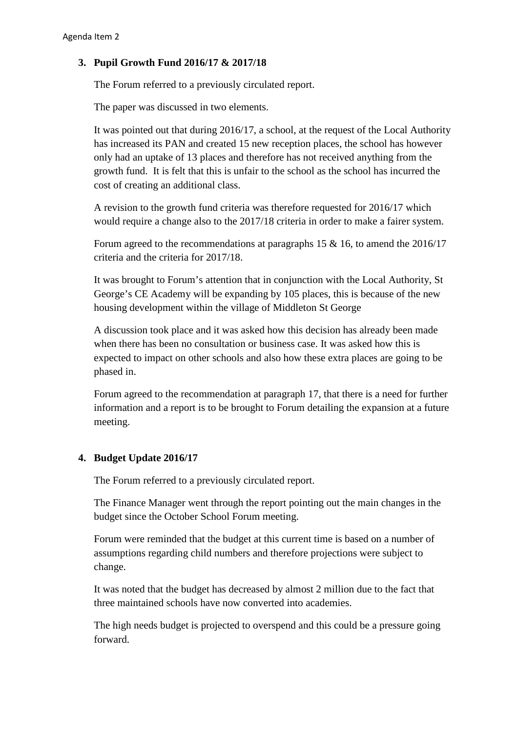## **3. Pupil Growth Fund 2016/17 & 2017/18**

The Forum referred to a previously circulated report.

The paper was discussed in two elements.

It was pointed out that during 2016/17, a school, at the request of the Local Authority has increased its PAN and created 15 new reception places, the school has however only had an uptake of 13 places and therefore has not received anything from the growth fund. It is felt that this is unfair to the school as the school has incurred the cost of creating an additional class.

A revision to the growth fund criteria was therefore requested for 2016/17 which would require a change also to the 2017/18 criteria in order to make a fairer system.

Forum agreed to the recommendations at paragraphs 15 & 16, to amend the 2016/17 criteria and the criteria for 2017/18.

It was brought to Forum's attention that in conjunction with the Local Authority, St George's CE Academy will be expanding by 105 places, this is because of the new housing development within the village of Middleton St George

A discussion took place and it was asked how this decision has already been made when there has been no consultation or business case. It was asked how this is expected to impact on other schools and also how these extra places are going to be phased in.

Forum agreed to the recommendation at paragraph 17, that there is a need for further information and a report is to be brought to Forum detailing the expansion at a future meeting.

### **4. Budget Update 2016/17**

The Forum referred to a previously circulated report.

The Finance Manager went through the report pointing out the main changes in the budget since the October School Forum meeting.

Forum were reminded that the budget at this current time is based on a number of assumptions regarding child numbers and therefore projections were subject to change.

It was noted that the budget has decreased by almost 2 million due to the fact that three maintained schools have now converted into academies.

The high needs budget is projected to overspend and this could be a pressure going forward.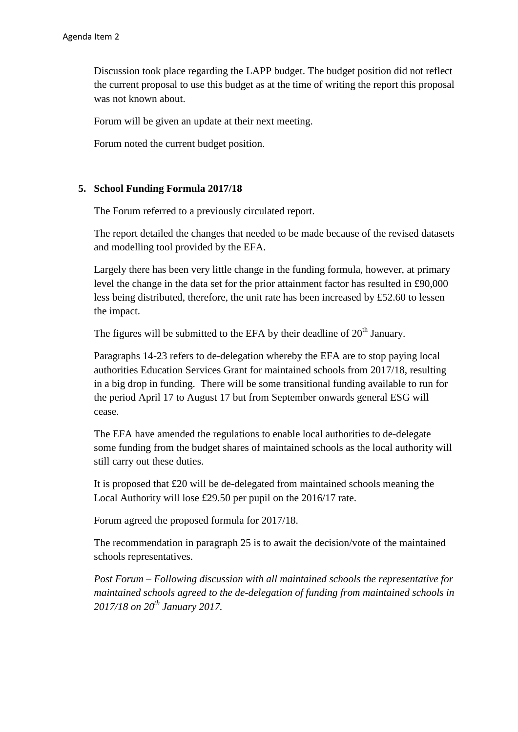Discussion took place regarding the LAPP budget. The budget position did not reflect the current proposal to use this budget as at the time of writing the report this proposal was not known about.

Forum will be given an update at their next meeting.

Forum noted the current budget position.

### **5. School Funding Formula 2017/18**

The Forum referred to a previously circulated report.

The report detailed the changes that needed to be made because of the revised datasets and modelling tool provided by the EFA.

Largely there has been very little change in the funding formula, however, at primary level the change in the data set for the prior attainment factor has resulted in £90,000 less being distributed, therefore, the unit rate has been increased by £52.60 to lessen the impact.

The figures will be submitted to the EFA by their deadline of  $20<sup>th</sup>$  January.

Paragraphs 14-23 refers to de-delegation whereby the EFA are to stop paying local authorities Education Services Grant for maintained schools from 2017/18, resulting in a big drop in funding. There will be some transitional funding available to run for the period April 17 to August 17 but from September onwards general ESG will cease.

The EFA have amended the regulations to enable local authorities to de-delegate some funding from the budget shares of maintained schools as the local authority will still carry out these duties.

It is proposed that £20 will be de-delegated from maintained schools meaning the Local Authority will lose £29.50 per pupil on the 2016/17 rate.

Forum agreed the proposed formula for 2017/18.

The recommendation in paragraph 25 is to await the decision/vote of the maintained schools representatives.

*Post Forum – Following discussion with all maintained schools the representative for maintained schools agreed to the de-delegation of funding from maintained schools in 2017/18 on 20th January 2017.*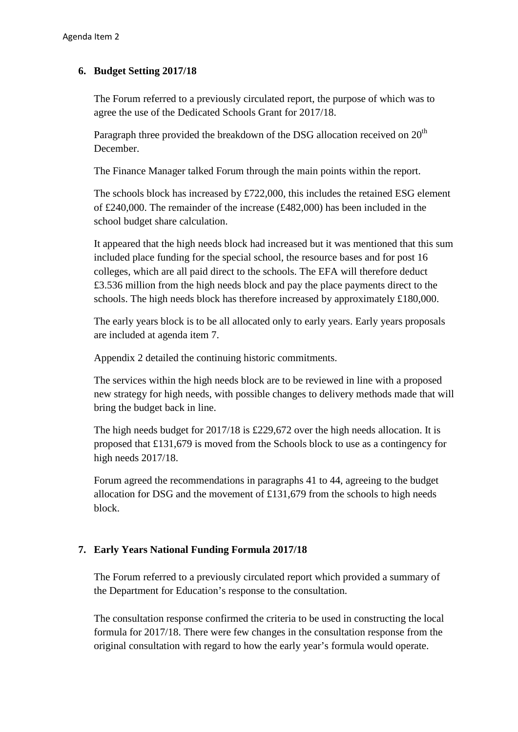## **6. Budget Setting 2017/18**

The Forum referred to a previously circulated report, the purpose of which was to agree the use of the Dedicated Schools Grant for 2017/18.

Paragraph three provided the breakdown of the DSG allocation received on  $20<sup>th</sup>$ December.

The Finance Manager talked Forum through the main points within the report.

The schools block has increased by £722,000, this includes the retained ESG element of £240,000. The remainder of the increase (£482,000) has been included in the school budget share calculation.

It appeared that the high needs block had increased but it was mentioned that this sum included place funding for the special school, the resource bases and for post 16 colleges, which are all paid direct to the schools. The EFA will therefore deduct £3.536 million from the high needs block and pay the place payments direct to the schools. The high needs block has therefore increased by approximately £180,000.

The early years block is to be all allocated only to early years. Early years proposals are included at agenda item 7.

Appendix 2 detailed the continuing historic commitments.

The services within the high needs block are to be reviewed in line with a proposed new strategy for high needs, with possible changes to delivery methods made that will bring the budget back in line.

The high needs budget for 2017/18 is £229,672 over the high needs allocation. It is proposed that £131,679 is moved from the Schools block to use as a contingency for high needs 2017/18.

Forum agreed the recommendations in paragraphs 41 to 44, agreeing to the budget allocation for DSG and the movement of £131,679 from the schools to high needs block.

# **7. Early Years National Funding Formula 2017/18**

The Forum referred to a previously circulated report which provided a summary of the Department for Education's response to the consultation.

The consultation response confirmed the criteria to be used in constructing the local formula for 2017/18. There were few changes in the consultation response from the original consultation with regard to how the early year's formula would operate.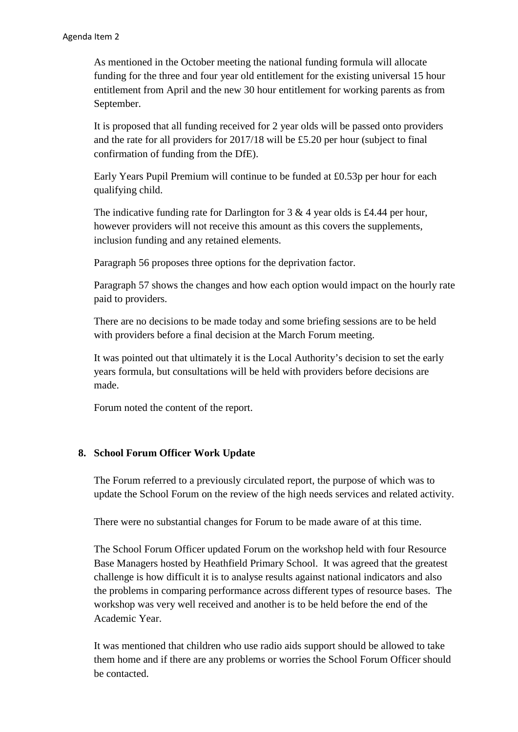As mentioned in the October meeting the national funding formula will allocate funding for the three and four year old entitlement for the existing universal 15 hour entitlement from April and the new 30 hour entitlement for working parents as from September.

It is proposed that all funding received for 2 year olds will be passed onto providers and the rate for all providers for 2017/18 will be £5.20 per hour (subject to final confirmation of funding from the DfE).

Early Years Pupil Premium will continue to be funded at £0.53p per hour for each qualifying child.

The indicative funding rate for Darlington for  $3 \& 4$  year olds is £4.44 per hour, however providers will not receive this amount as this covers the supplements, inclusion funding and any retained elements.

Paragraph 56 proposes three options for the deprivation factor.

Paragraph 57 shows the changes and how each option would impact on the hourly rate paid to providers.

There are no decisions to be made today and some briefing sessions are to be held with providers before a final decision at the March Forum meeting.

It was pointed out that ultimately it is the Local Authority's decision to set the early years formula, but consultations will be held with providers before decisions are made.

Forum noted the content of the report.

# **8. School Forum Officer Work Update**

The Forum referred to a previously circulated report, the purpose of which was to update the School Forum on the review of the high needs services and related activity.

There were no substantial changes for Forum to be made aware of at this time.

The School Forum Officer updated Forum on the workshop held with four Resource Base Managers hosted by Heathfield Primary School. It was agreed that the greatest challenge is how difficult it is to analyse results against national indicators and also the problems in comparing performance across different types of resource bases. The workshop was very well received and another is to be held before the end of the Academic Year.

It was mentioned that children who use radio aids support should be allowed to take them home and if there are any problems or worries the School Forum Officer should be contacted.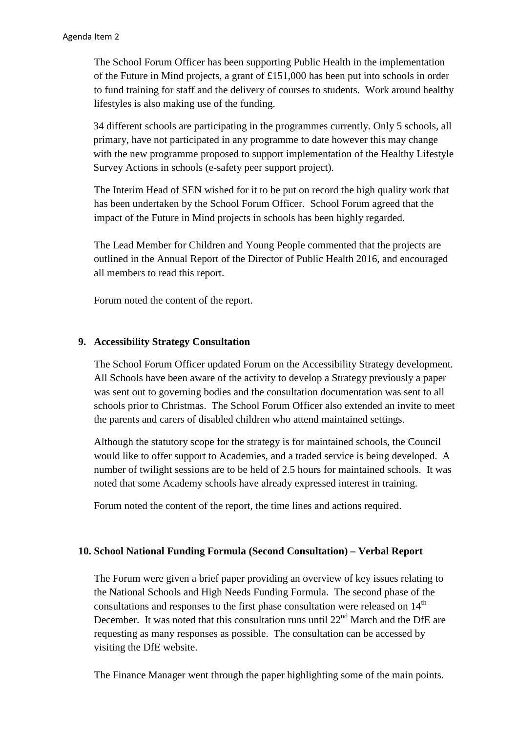The School Forum Officer has been supporting Public Health in the implementation of the Future in Mind projects, a grant of £151,000 has been put into schools in order to fund training for staff and the delivery of courses to students. Work around healthy lifestyles is also making use of the funding.

34 different schools are participating in the programmes currently. Only 5 schools, all primary, have not participated in any programme to date however this may change with the new programme proposed to support implementation of the Healthy Lifestyle Survey Actions in schools (e-safety peer support project).

The Interim Head of SEN wished for it to be put on record the high quality work that has been undertaken by the School Forum Officer. School Forum agreed that the impact of the Future in Mind projects in schools has been highly regarded.

The Lead Member for Children and Young People commented that the projects are outlined in the Annual Report of the Director of Public Health 2016, and encouraged all members to read this report.

Forum noted the content of the report.

## **9. Accessibility Strategy Consultation**

The School Forum Officer updated Forum on the Accessibility Strategy development. All Schools have been aware of the activity to develop a Strategy previously a paper was sent out to governing bodies and the consultation documentation was sent to all schools prior to Christmas. The School Forum Officer also extended an invite to meet the parents and carers of disabled children who attend maintained settings.

Although the statutory scope for the strategy is for maintained schools, the Council would like to offer support to Academies, and a traded service is being developed. A number of twilight sessions are to be held of 2.5 hours for maintained schools. It was noted that some Academy schools have already expressed interest in training.

Forum noted the content of the report, the time lines and actions required.

### **10. School National Funding Formula (Second Consultation) – Verbal Report**

The Forum were given a brief paper providing an overview of key issues relating to the National Schools and High Needs Funding Formula. The second phase of the consultations and responses to the first phase consultation were released on  $14<sup>th</sup>$ December. It was noted that this consultation runs until  $22<sup>nd</sup>$  March and the DfE are requesting as many responses as possible. The consultation can be accessed by visiting the DfE website.

The Finance Manager went through the paper highlighting some of the main points.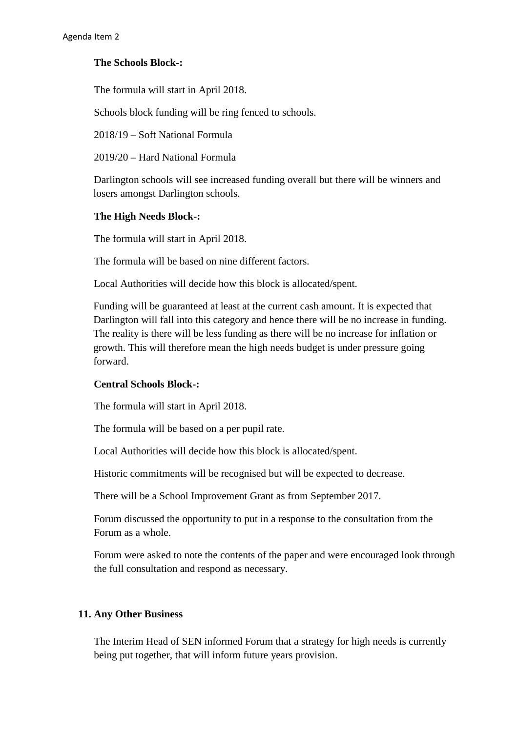## **The Schools Block-:**

The formula will start in April 2018.

Schools block funding will be ring fenced to schools.

2018/19 – Soft National Formula

2019/20 – Hard National Formula

Darlington schools will see increased funding overall but there will be winners and losers amongst Darlington schools.

### **The High Needs Block-:**

The formula will start in April 2018.

The formula will be based on nine different factors.

Local Authorities will decide how this block is allocated/spent.

Funding will be guaranteed at least at the current cash amount. It is expected that Darlington will fall into this category and hence there will be no increase in funding. The reality is there will be less funding as there will be no increase for inflation or growth. This will therefore mean the high needs budget is under pressure going forward.

### **Central Schools Block-:**

The formula will start in April 2018.

The formula will be based on a per pupil rate.

Local Authorities will decide how this block is allocated/spent.

Historic commitments will be recognised but will be expected to decrease.

There will be a School Improvement Grant as from September 2017.

Forum discussed the opportunity to put in a response to the consultation from the Forum as a whole.

Forum were asked to note the contents of the paper and were encouraged look through the full consultation and respond as necessary.

# **11. Any Other Business**

The Interim Head of SEN informed Forum that a strategy for high needs is currently being put together, that will inform future years provision.